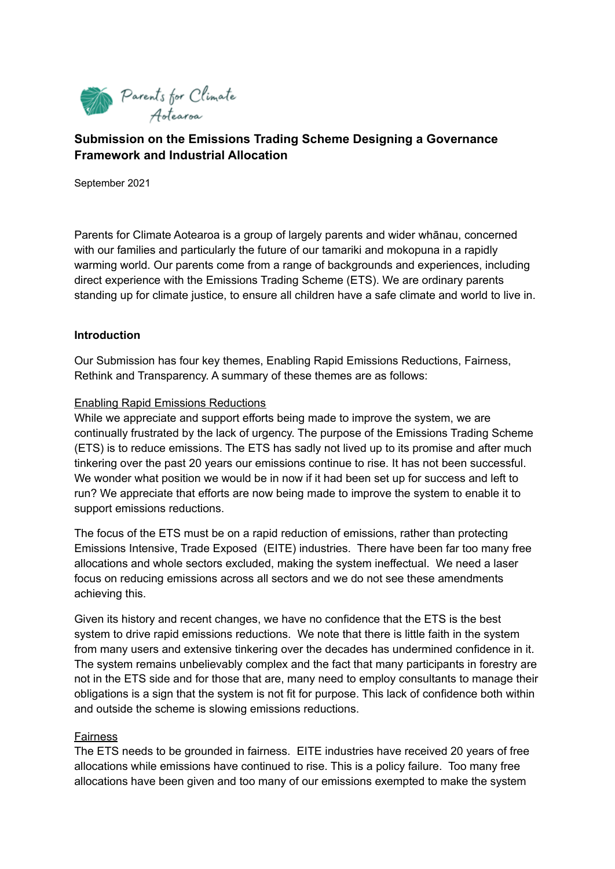

# **Submission on the Emissions Trading Scheme Designing a Governance Framework and Industrial Allocation**

September 2021

Parents for Climate Aotearoa is a group of largely parents and wider whānau, concerned with our families and particularly the future of our tamariki and mokopuna in a rapidly warming world. Our parents come from a range of backgrounds and experiences, including direct experience with the Emissions Trading Scheme (ETS). We are ordinary parents standing up for climate justice, to ensure all children have a safe climate and world to live in.

#### **Introduction**

Our Submission has four key themes, Enabling Rapid Emissions Reductions, Fairness, Rethink and Transparency. A summary of these themes are as follows:

#### Enabling Rapid Emissions Reductions

While we appreciate and support efforts being made to improve the system, we are continually frustrated by the lack of urgency. The purpose of the Emissions Trading Scheme (ETS) is to reduce emissions. The ETS has sadly not lived up to its promise and after much tinkering over the past 20 years our emissions continue to rise. It has not been successful. We wonder what position we would be in now if it had been set up for success and left to run? We appreciate that efforts are now being made to improve the system to enable it to support emissions reductions.

The focus of the ETS must be on a rapid reduction of emissions, rather than protecting Emissions Intensive, Trade Exposed (EITE) industries. There have been far too many free allocations and whole sectors excluded, making the system ineffectual. We need a laser focus on reducing emissions across all sectors and we do not see these amendments achieving this.

Given its history and recent changes, we have no confidence that the ETS is the best system to drive rapid emissions reductions. We note that there is little faith in the system from many users and extensive tinkering over the decades has undermined confidence in it. The system remains unbelievably complex and the fact that many participants in forestry are not in the ETS side and for those that are, many need to employ consultants to manage their obligations is a sign that the system is not fit for purpose. This lack of confidence both within and outside the scheme is slowing emissions reductions.

#### Fairness

The ETS needs to be grounded in fairness. EITE industries have received 20 years of free allocations while emissions have continued to rise. This is a policy failure. Too many free allocations have been given and too many of our emissions exempted to make the system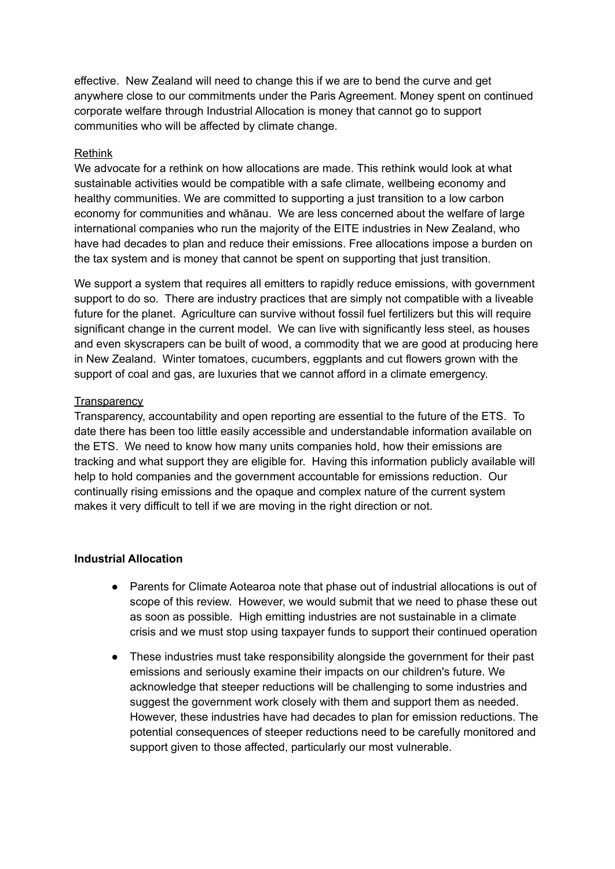effective. New Zealand will need to change this if we are to bend the curve and get anywhere close to our commitments under the Paris Agreement. Money spent on continued corporate welfare through Industrial Allocation is money that cannot go to support communities who will be affected by climate change.

#### Rethink

We advocate for a rethink on how allocations are made. This rethink would look at what sustainable activities would be compatible with a safe climate, wellbeing economy and healthy communities. We are committed to supporting a just transition to a low carbon economy for communities and whānau. We are less concerned about the welfare of large international companies who run the majority of the EITE industries in New Zealand, who have had decades to plan and reduce their emissions. Free allocations impose a burden on the tax system and is money that cannot be spent on supporting that just transition.

We support a system that requires all emitters to rapidly reduce emissions, with government support to do so. There are industry practices that are simply not compatible with a liveable future for the planet. Agriculture can survive without fossil fuel fertilizers but this will require significant change in the current model. We can live with significantly less steel, as houses and even skyscrapers can be built of wood, a commodity that we are good at producing here in New Zealand. Winter tomatoes, cucumbers, eggplants and cut flowers grown with the support of coal and gas, are luxuries that we cannot afford in a climate emergency.

#### **Transparency**

Transparency, accountability and open reporting are essential to the future of the ETS. To date there has been too little easily accessible and understandable information available on the ETS. We need to know how many units companies hold, how their emissions are tracking and what support they are eligible for. Having this information publicly available will help to hold companies and the government accountable for emissions reduction. Our continually rising emissions and the opaque and complex nature of the current system makes it very difficult to tell if we are moving in the right direction or not.

#### **Industrial Allocation**

- Parents for Climate Aotearoa note that phase out of industrial allocations is out of scope of this review. However, we would submit that we need to phase these out as soon as possible. High emitting industries are not sustainable in a climate crisis and we must stop using taxpayer funds to support their continued operation
- These industries must take responsibility alongside the government for their past emissions and seriously examine their impacts on our children's future. We acknowledge that steeper reductions will be challenging to some industries and suggest the government work closely with them and support them as needed. However, these industries have had decades to plan for emission reductions. The potential consequences of steeper reductions need to be carefully monitored and support given to those affected, particularly our most vulnerable.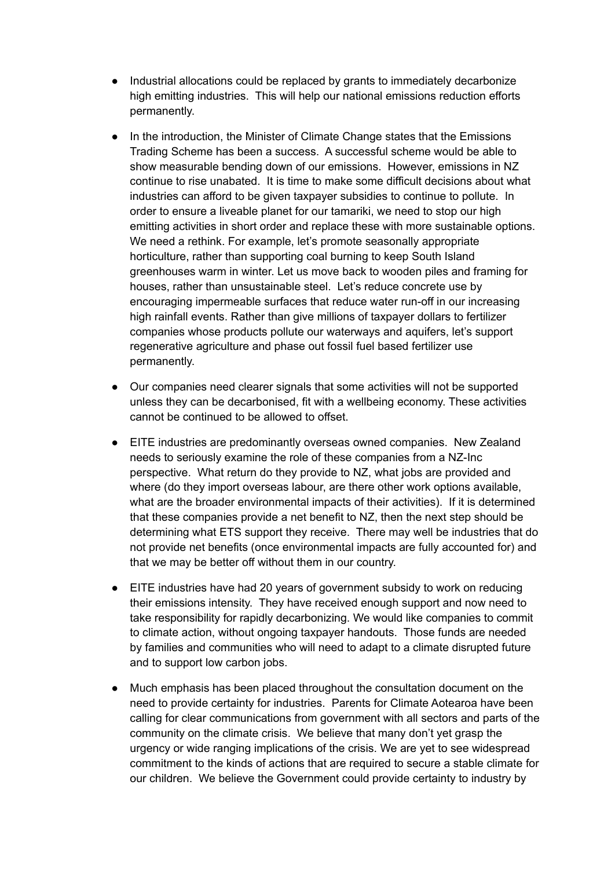- Industrial allocations could be replaced by grants to immediately decarbonize high emitting industries. This will help our national emissions reduction efforts permanently.
- In the introduction, the Minister of Climate Change states that the Emissions Trading Scheme has been a success. A successful scheme would be able to show measurable bending down of our emissions. However, emissions in NZ continue to rise unabated. It is time to make some difficult decisions about what industries can afford to be given taxpayer subsidies to continue to pollute. In order to ensure a liveable planet for our tamariki, we need to stop our high emitting activities in short order and replace these with more sustainable options. We need a rethink. For example, let's promote seasonally appropriate horticulture, rather than supporting coal burning to keep South Island greenhouses warm in winter. Let us move back to wooden piles and framing for houses, rather than unsustainable steel. Let's reduce concrete use by encouraging impermeable surfaces that reduce water run-off in our increasing high rainfall events. Rather than give millions of taxpayer dollars to fertilizer companies whose products pollute our waterways and aquifers, let's support regenerative agriculture and phase out fossil fuel based fertilizer use permanently.
- Our companies need clearer signals that some activities will not be supported unless they can be decarbonised, fit with a wellbeing economy. These activities cannot be continued to be allowed to offset.
- EITE industries are predominantly overseas owned companies. New Zealand needs to seriously examine the role of these companies from a NZ-Inc perspective. What return do they provide to NZ, what jobs are provided and where (do they import overseas labour, are there other work options available, what are the broader environmental impacts of their activities). If it is determined that these companies provide a net benefit to NZ, then the next step should be determining what ETS support they receive. There may well be industries that do not provide net benefits (once environmental impacts are fully accounted for) and that we may be better off without them in our country.
- EITE industries have had 20 years of government subsidy to work on reducing their emissions intensity. They have received enough support and now need to take responsibility for rapidly decarbonizing. We would like companies to commit to climate action, without ongoing taxpayer handouts. Those funds are needed by families and communities who will need to adapt to a climate disrupted future and to support low carbon jobs.
- Much emphasis has been placed throughout the consultation document on the need to provide certainty for industries. Parents for Climate Aotearoa have been calling for clear communications from government with all sectors and parts of the community on the climate crisis. We believe that many don't yet grasp the urgency or wide ranging implications of the crisis. We are yet to see widespread commitment to the kinds of actions that are required to secure a stable climate for our children. We believe the Government could provide certainty to industry by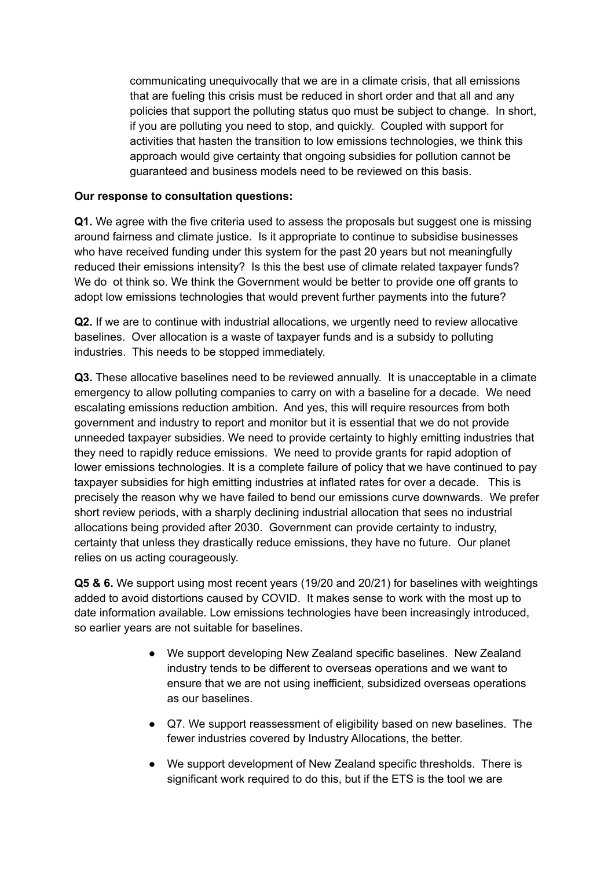communicating unequivocally that we are in a climate crisis, that all emissions that are fueling this crisis must be reduced in short order and that all and any policies that support the polluting status quo must be subject to change. In short, if you are polluting you need to stop, and quickly. Coupled with support for activities that hasten the transition to low emissions technologies, we think this approach would give certainty that ongoing subsidies for pollution cannot be guaranteed and business models need to be reviewed on this basis.

#### **Our response to consultation questions:**

**Q1.** We agree with the five criteria used to assess the proposals but suggest one is missing around fairness and climate justice. Is it appropriate to continue to subsidise businesses who have received funding under this system for the past 20 years but not meaningfully reduced their emissions intensity? Is this the best use of climate related taxpayer funds? We do ot think so. We think the Government would be better to provide one off grants to adopt low emissions technologies that would prevent further payments into the future?

**Q2.** If we are to continue with industrial allocations, we urgently need to review allocative baselines. Over allocation is a waste of taxpayer funds and is a subsidy to polluting industries. This needs to be stopped immediately.

**Q3.** These allocative baselines need to be reviewed annually. It is unacceptable in a climate emergency to allow polluting companies to carry on with a baseline for a decade. We need escalating emissions reduction ambition. And yes, this will require resources from both government and industry to report and monitor but it is essential that we do not provide unneeded taxpayer subsidies. We need to provide certainty to highly emitting industries that they need to rapidly reduce emissions. We need to provide grants for rapid adoption of lower emissions technologies. It is a complete failure of policy that we have continued to pay taxpayer subsidies for high emitting industries at inflated rates for over a decade. This is precisely the reason why we have failed to bend our emissions curve downwards. We prefer short review periods, with a sharply declining industrial allocation that sees no industrial allocations being provided after 2030. Government can provide certainty to industry, certainty that unless they drastically reduce emissions, they have no future. Our planet relies on us acting courageously.

**Q5 & 6.** We support using most recent years (19/20 and 20/21) for baselines with weightings added to avoid distortions caused by COVID. It makes sense to work with the most up to date information available. Low emissions technologies have been increasingly introduced, so earlier years are not suitable for baselines.

- We support developing New Zealand specific baselines. New Zealand industry tends to be different to overseas operations and we want to ensure that we are not using inefficient, subsidized overseas operations as our baselines.
- Q7. We support reassessment of eligibility based on new baselines. The fewer industries covered by Industry Allocations, the better.
- We support development of New Zealand specific thresholds. There is significant work required to do this, but if the ETS is the tool we are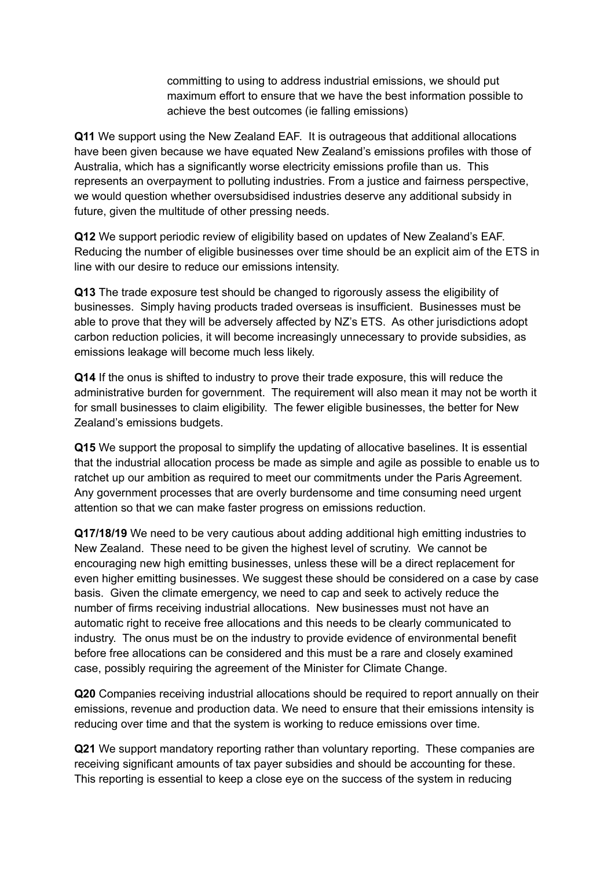committing to using to address industrial emissions, we should put maximum effort to ensure that we have the best information possible to achieve the best outcomes (ie falling emissions)

**Q11** We support using the New Zealand EAF. It is outrageous that additional allocations have been given because we have equated New Zealand's emissions profiles with those of Australia, which has a significantly worse electricity emissions profile than us. This represents an overpayment to polluting industries. From a justice and fairness perspective, we would question whether oversubsidised industries deserve any additional subsidy in future, given the multitude of other pressing needs.

**Q12** We support periodic review of eligibility based on updates of New Zealand's EAF. Reducing the number of eligible businesses over time should be an explicit aim of the ETS in line with our desire to reduce our emissions intensity.

**Q13** The trade exposure test should be changed to rigorously assess the eligibility of businesses. Simply having products traded overseas is insufficient. Businesses must be able to prove that they will be adversely affected by NZ's ETS. As other jurisdictions adopt carbon reduction policies, it will become increasingly unnecessary to provide subsidies, as emissions leakage will become much less likely.

**Q14** If the onus is shifted to industry to prove their trade exposure, this will reduce the administrative burden for government. The requirement will also mean it may not be worth it for small businesses to claim eligibility. The fewer eligible businesses, the better for New Zealand's emissions budgets.

**Q15** We support the proposal to simplify the updating of allocative baselines. It is essential that the industrial allocation process be made as simple and agile as possible to enable us to ratchet up our ambition as required to meet our commitments under the Paris Agreement. Any government processes that are overly burdensome and time consuming need urgent attention so that we can make faster progress on emissions reduction.

**Q17/18/19** We need to be very cautious about adding additional high emitting industries to New Zealand. These need to be given the highest level of scrutiny. We cannot be encouraging new high emitting businesses, unless these will be a direct replacement for even higher emitting businesses. We suggest these should be considered on a case by case basis. Given the climate emergency, we need to cap and seek to actively reduce the number of firms receiving industrial allocations. New businesses must not have an automatic right to receive free allocations and this needs to be clearly communicated to industry. The onus must be on the industry to provide evidence of environmental benefit before free allocations can be considered and this must be a rare and closely examined case, possibly requiring the agreement of the Minister for Climate Change.

**Q20** Companies receiving industrial allocations should be required to report annually on their emissions, revenue and production data. We need to ensure that their emissions intensity is reducing over time and that the system is working to reduce emissions over time.

**Q21** We support mandatory reporting rather than voluntary reporting. These companies are receiving significant amounts of tax payer subsidies and should be accounting for these. This reporting is essential to keep a close eye on the success of the system in reducing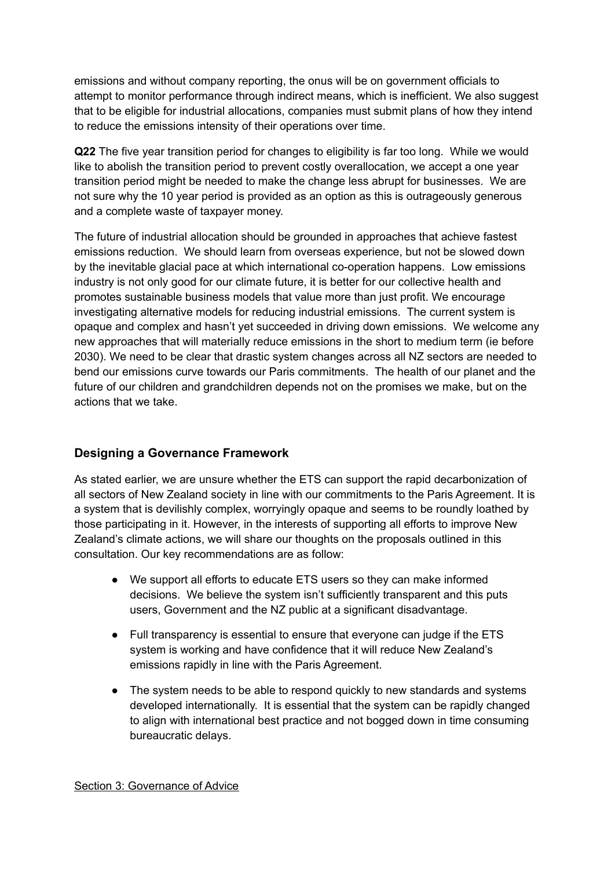emissions and without company reporting, the onus will be on government officials to attempt to monitor performance through indirect means, which is inefficient. We also suggest that to be eligible for industrial allocations, companies must submit plans of how they intend to reduce the emissions intensity of their operations over time.

**Q22** The five year transition period for changes to eligibility is far too long. While we would like to abolish the transition period to prevent costly overallocation, we accept a one year transition period might be needed to make the change less abrupt for businesses. We are not sure why the 10 year period is provided as an option as this is outrageously generous and a complete waste of taxpayer money.

The future of industrial allocation should be grounded in approaches that achieve fastest emissions reduction. We should learn from overseas experience, but not be slowed down by the inevitable glacial pace at which international co-operation happens. Low emissions industry is not only good for our climate future, it is better for our collective health and promotes sustainable business models that value more than just profit. We encourage investigating alternative models for reducing industrial emissions. The current system is opaque and complex and hasn't yet succeeded in driving down emissions. We welcome any new approaches that will materially reduce emissions in the short to medium term (ie before 2030). We need to be clear that drastic system changes across all NZ sectors are needed to bend our emissions curve towards our Paris commitments. The health of our planet and the future of our children and grandchildren depends not on the promises we make, but on the actions that we take.

## **Designing a Governance Framework**

As stated earlier, we are unsure whether the ETS can support the rapid decarbonization of all sectors of New Zealand society in line with our commitments to the Paris Agreement. It is a system that is devilishly complex, worryingly opaque and seems to be roundly loathed by those participating in it. However, in the interests of supporting all efforts to improve New Zealand's climate actions, we will share our thoughts on the proposals outlined in this consultation. Our key recommendations are as follow:

- We support all efforts to educate ETS users so they can make informed decisions. We believe the system isn't sufficiently transparent and this puts users, Government and the NZ public at a significant disadvantage.
- Full transparency is essential to ensure that everyone can judge if the ETS system is working and have confidence that it will reduce New Zealand's emissions rapidly in line with the Paris Agreement.
- The system needs to be able to respond quickly to new standards and systems developed internationally. It is essential that the system can be rapidly changed to align with international best practice and not bogged down in time consuming bureaucratic delays.

#### Section 3: Governance of Advice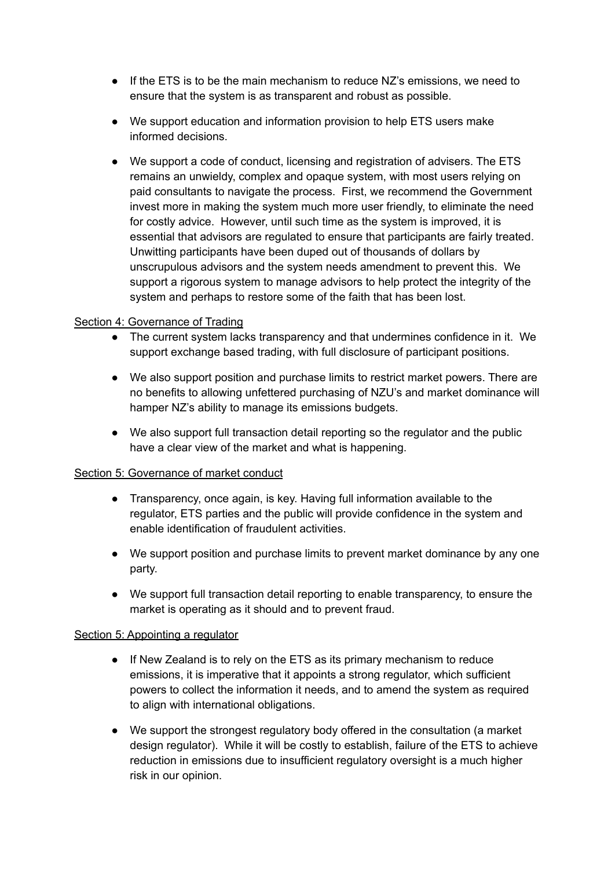- If the ETS is to be the main mechanism to reduce NZ's emissions, we need to ensure that the system is as transparent and robust as possible.
- We support education and information provision to help ETS users make informed decisions.
- We support a code of conduct, licensing and registration of advisers. The ETS remains an unwieldy, complex and opaque system, with most users relying on paid consultants to navigate the process. First, we recommend the Government invest more in making the system much more user friendly, to eliminate the need for costly advice. However, until such time as the system is improved, it is essential that advisors are regulated to ensure that participants are fairly treated. Unwitting participants have been duped out of thousands of dollars by unscrupulous advisors and the system needs amendment to prevent this. We support a rigorous system to manage advisors to help protect the integrity of the system and perhaps to restore some of the faith that has been lost.

### Section 4: Governance of Trading

- The current system lacks transparency and that undermines confidence in it. We support exchange based trading, with full disclosure of participant positions.
- We also support position and purchase limits to restrict market powers. There are no benefits to allowing unfettered purchasing of NZU's and market dominance will hamper NZ's ability to manage its emissions budgets.
- We also support full transaction detail reporting so the regulator and the public have a clear view of the market and what is happening.

#### Section 5: Governance of market conduct

- Transparency, once again, is key. Having full information available to the regulator, ETS parties and the public will provide confidence in the system and enable identification of fraudulent activities.
- We support position and purchase limits to prevent market dominance by any one party.
- We support full transaction detail reporting to enable transparency, to ensure the market is operating as it should and to prevent fraud.

#### Section 5: Appointing a regulator

- If New Zealand is to rely on the ETS as its primary mechanism to reduce emissions, it is imperative that it appoints a strong regulator, which sufficient powers to collect the information it needs, and to amend the system as required to align with international obligations.
- We support the strongest regulatory body offered in the consultation (a market design regulator). While it will be costly to establish, failure of the ETS to achieve reduction in emissions due to insufficient regulatory oversight is a much higher risk in our opinion.